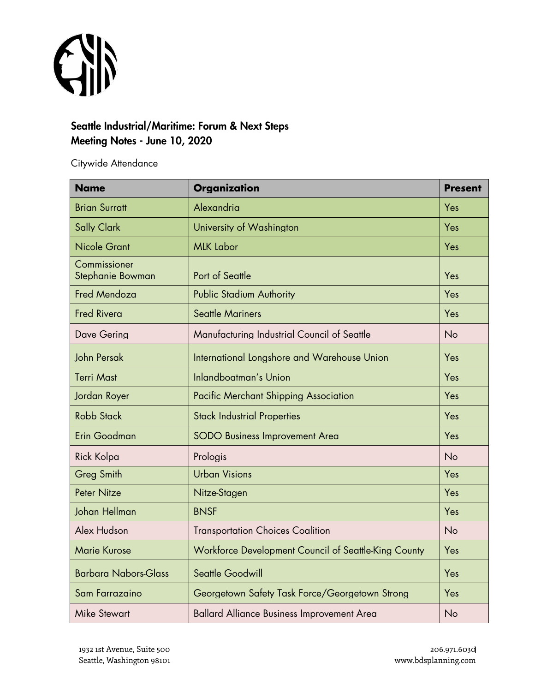

## Seattle Industrial/Maritime: Forum & Next Steps Meeting Notes - June 10, 2020

Citywide Attendance

| <b>Name</b>                      | <b>Organization</b>                                  | <b>Present</b> |
|----------------------------------|------------------------------------------------------|----------------|
| <b>Brian Surratt</b>             | Alexandria                                           | Yes            |
| <b>Sally Clark</b>               | University of Washington                             | Yes            |
| <b>Nicole Grant</b>              | <b>MLK Labor</b>                                     | Yes            |
| Commissioner<br>Stephanie Bowman | Port of Seattle                                      | Yes            |
| <b>Fred Mendoza</b>              | <b>Public Stadium Authority</b>                      | Yes            |
| <b>Fred Rivera</b>               | <b>Seattle Mariners</b>                              | Yes            |
| Dave Gering                      | Manufacturing Industrial Council of Seattle          | <b>No</b>      |
| John Persak                      | International Longshore and Warehouse Union          | Yes            |
| <b>Terri Mast</b>                | Inlandboatman's Union                                | Yes            |
| Jordan Royer                     | <b>Pacific Merchant Shipping Association</b>         | Yes            |
| <b>Robb Stack</b>                | <b>Stack Industrial Properties</b>                   | Yes            |
| Erin Goodman                     | <b>SODO Business Improvement Area</b>                | Yes            |
| <b>Rick Kolpa</b>                | Prologis                                             | No             |
| <b>Greg Smith</b>                | <b>Urban Visions</b>                                 | Yes            |
| <b>Peter Nitze</b>               | Nitze-Stagen                                         | Yes            |
| Johan Hellman                    | <b>BNSF</b>                                          | Yes            |
| Alex Hudson                      | <b>Transportation Choices Coalition</b>              | No             |
| <b>Marie Kurose</b>              | Workforce Development Council of Seattle-King County | Yes            |
| <b>Barbara Nabors-Glass</b>      | Seattle Goodwill                                     | Yes            |
| Sam Farrazaino                   | Georgetown Safety Task Force/Georgetown Strong       | Yes            |
| <b>Mike Stewart</b>              | <b>Ballard Alliance Business Improvement Area</b>    | No             |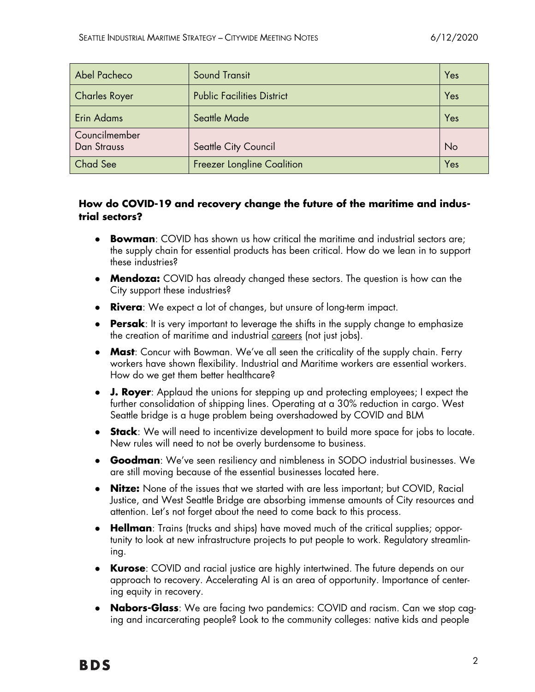| Abel Pacheco                        | <b>Sound Transit</b>              | Yes |
|-------------------------------------|-----------------------------------|-----|
| <b>Charles Royer</b>                | <b>Public Facilities District</b> | Yes |
| Erin Adams                          | Seattle Made                      | Yes |
| Councilmember<br><b>Dan Strauss</b> | Seattle City Council              | No  |
| Chad See                            | <b>Freezer Longline Coalition</b> | Yes |

### **How do COVID-19 and recovery change the future of the maritime and industrial sectors?**

- **Bowman**: COVID has shown us how critical the maritime and industrial sectors are; the supply chain for essential products has been critical. How do we lean in to support these industries?
- **Mendoza:** COVID has already changed these sectors. The question is how can the City support these industries?
- **Rivera**: We expect a lot of changes, but unsure of long-term impact.
- **Persak**: It is very important to leverage the shifts in the supply change to emphasize the creation of maritime and industrial careers (not just jobs).
- **Mast**: Concur with Bowman. We've all seen the criticality of the supply chain. Ferry workers have shown flexibility. Industrial and Maritime workers are essential workers. How do we get them better healthcare?
- **J. Royer**: Applaud the unions for stepping up and protecting employees; I expect the further consolidation of shipping lines. Operating at a 30% reduction in cargo. West Seattle bridge is a huge problem being overshadowed by COVID and BLM
- **Stack**: We will need to incentivize development to build more space for jobs to locate. New rules will need to not be overly burdensome to business.
- **Goodman**: We've seen resiliency and nimbleness in SODO industrial businesses. We are still moving because of the essential businesses located here.
- **Nitze:** None of the issues that we started with are less important; but COVID, Racial Justice, and West Seattle Bridge are absorbing immense amounts of City resources and attention. Let's not forget about the need to come back to this process.
- **Hellman**: Trains (trucks and ships) have moved much of the critical supplies; opportunity to look at new infrastructure projects to put people to work. Regulatory streamlining.
- **Kurose**: COVID and racial justice are highly intertwined. The future depends on our approach to recovery. Accelerating AI is an area of opportunity. Importance of centering equity in recovery.
- **Nabors-Glass**: We are facing two pandemics: COVID and racism. Can we stop caging and incarcerating people? Look to the community colleges: native kids and people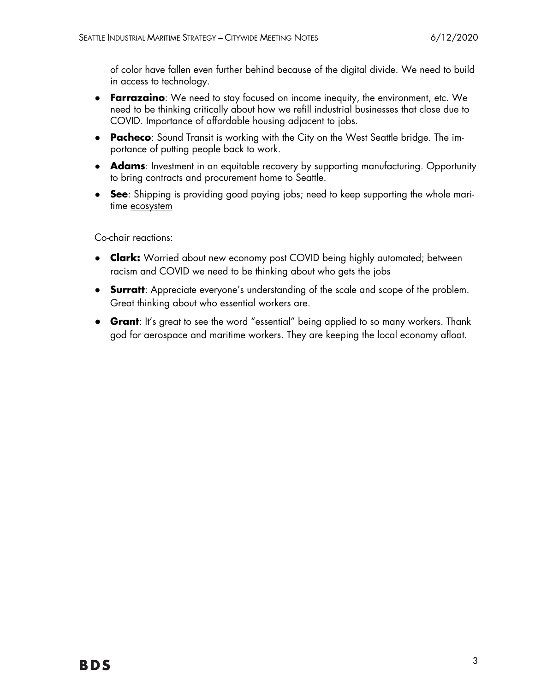of color have fallen even further behind because of the digital divide. We need to build in access to technology.

- **Farrazaino**: We need to stay focused on income inequity, the environment, etc. We need to be thinking critically about how we refill industrial businesses that close due to COVID. Importance of affordable housing adjacent to jobs.
- **Pacheco**: Sound Transit is working with the City on the West Seattle bridge. The importance of putting people back to work.
- **Adams**: Investment in an equitable recovery by supporting manufacturing. Opportunity to bring contracts and procurement home to Seattle.
- **See**: Shipping is providing good paying jobs; need to keep supporting the whole maritime ecosystem

Co-chair reactions:

- **Clark:** Worried about new economy post COVID being highly automated; between racism and COVID we need to be thinking about who gets the jobs
- **Surratt**: Appreciate everyone's understanding of the scale and scope of the problem. Great thinking about who essential workers are.
- **Grant**: It's great to see the word "essential" being applied to so many workers. Thank god for aerospace and maritime workers. They are keeping the local economy afloat.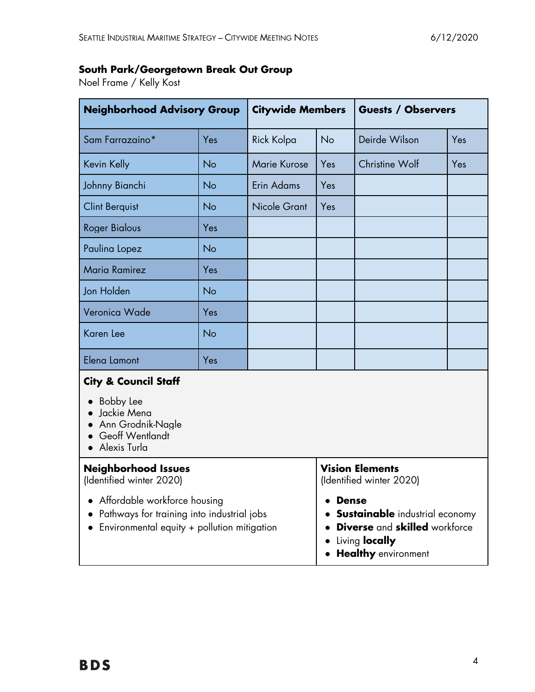# **South Park/Georgetown Break Out Group**

Noel Frame / Kelly Kost

| <b>Neighborhood Advisory Group</b>                                                                                                     |           | <b>Citywide Members</b> |                                                                                                                        | <b>Guests / Observers</b> |     |  |  |
|----------------------------------------------------------------------------------------------------------------------------------------|-----------|-------------------------|------------------------------------------------------------------------------------------------------------------------|---------------------------|-----|--|--|
| Sam Farrazaino*                                                                                                                        | Yes       | Rick Kolpa              | <b>No</b>                                                                                                              | Deirde Wilson             | Yes |  |  |
| Kevin Kelly                                                                                                                            | No        | <b>Marie Kurose</b>     | Yes                                                                                                                    | Christine Wolf            | Yes |  |  |
| Johnny Bianchi                                                                                                                         | No        | Erin Adams              | Yes                                                                                                                    |                           |     |  |  |
| <b>Clint Berquist</b>                                                                                                                  | No        | <b>Nicole Grant</b>     | Yes                                                                                                                    |                           |     |  |  |
| <b>Roger Bialous</b>                                                                                                                   | Yes       |                         |                                                                                                                        |                           |     |  |  |
| Paulina Lopez                                                                                                                          | No        |                         |                                                                                                                        |                           |     |  |  |
| <b>Maria Ramirez</b>                                                                                                                   | Yes       |                         |                                                                                                                        |                           |     |  |  |
| Jon Holden                                                                                                                             | <b>No</b> |                         |                                                                                                                        |                           |     |  |  |
| Veronica Wade                                                                                                                          | Yes       |                         |                                                                                                                        |                           |     |  |  |
| Karen Lee                                                                                                                              | No        |                         |                                                                                                                        |                           |     |  |  |
| Elena Lamont                                                                                                                           | Yes       |                         |                                                                                                                        |                           |     |  |  |
| <b>City &amp; Council Staff</b><br><b>Bobby Lee</b><br>Jackie Mena<br>Ann Grodnik-Nagle<br>Geoff Wentlandt<br>Alexis Turla             |           |                         |                                                                                                                        |                           |     |  |  |
| <b>Neighborhood Issues</b><br>(Identified winter 2020)                                                                                 |           |                         | <b>Vision Elements</b><br>(Identified winter 2020)                                                                     |                           |     |  |  |
| Affordable workforce housing<br>Pathways for training into industrial jobs<br>Environmental equity + pollution mitigation<br>$\bullet$ |           |                         | <b>Dense</b><br><b>Sustainable</b> industrial economy<br><b>Diverse</b> and <b>skilled</b> workforce<br>Living locally |                           |     |  |  |

● **Healthy** environment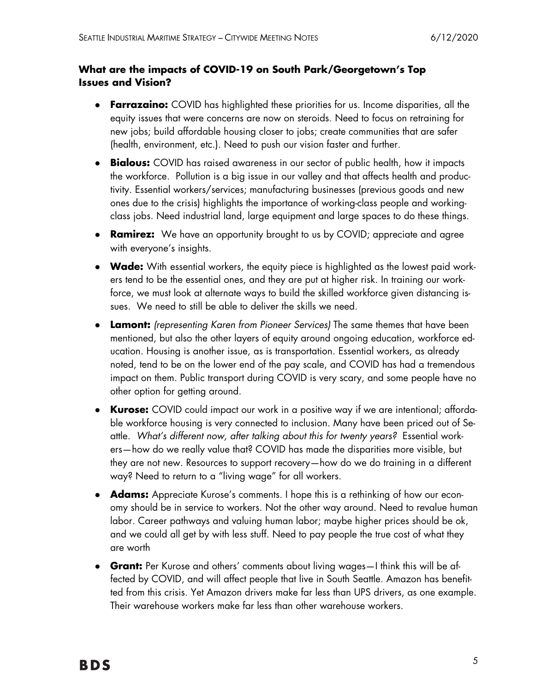### **What are the impacts of COVID-19 on South Park/Georgetown's Top Issues and Vision?**

- **Farrazaino:** COVID has highlighted these priorities for us. Income disparities, all the equity issues that were concerns are now on steroids. Need to focus on retraining for new jobs; build affordable housing closer to jobs; create communities that are safer (health, environment, etc.). Need to push our vision faster and further.
- **Bialous:** COVID has raised awareness in our sector of public health, how it impacts the workforce. Pollution is a big issue in our valley and that affects health and productivity. Essential workers/services; manufacturing businesses (previous goods and new ones due to the crisis) highlights the importance of working-class people and workingclass jobs. Need industrial land, large equipment and large spaces to do these things.
- **Ramirez:** We have an opportunity brought to us by COVID; appreciate and agree with everyone's insights.
- **Wade:** With essential workers, the equity piece is highlighted as the lowest paid workers tend to be the essential ones, and they are put at higher risk. In training our workforce, we must look at alternate ways to build the skilled workforce given distancing issues. We need to still be able to deliver the skills we need.
- **Lamont:** *(representing Karen from Pioneer Services)* The same themes that have been mentioned, but also the other layers of equity around ongoing education, workforce education. Housing is another issue, as is transportation. Essential workers, as already noted, tend to be on the lower end of the pay scale, and COVID has had a tremendous impact on them. Public transport during COVID is very scary, and some people have no other option for getting around.
- **Kurose:** COVID could impact our work in a positive way if we are intentional; affordable workforce housing is very connected to inclusion. Many have been priced out of Seattle. *What's different now, after talking about this for twenty years?* Essential workers—how do we really value that? COVID has made the disparities more visible, but they are not new. Resources to support recovery—how do we do training in a different way? Need to return to a "living wage" for all workers.
- **Adams:** Appreciate Kurose's comments. I hope this is a rethinking of how our economy should be in service to workers. Not the other way around. Need to revalue human labor. Career pathways and valuing human labor; maybe higher prices should be ok, and we could all get by with less stuff. Need to pay people the true cost of what they are worth
- **Grant:** Per Kurose and others' comments about living wages—I think this will be affected by COVID, and will affect people that live in South Seattle. Amazon has benefitted from this crisis. Yet Amazon drivers make far less than UPS drivers, as one example. Their warehouse workers make far less than other warehouse workers.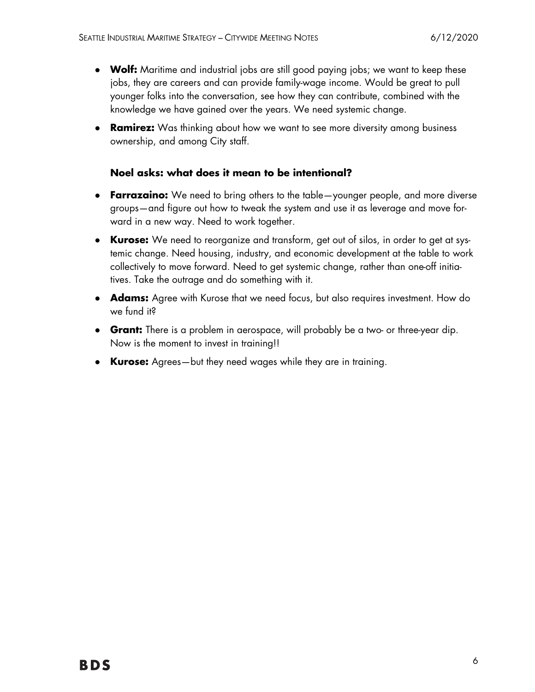- **Wolf:** Maritime and industrial jobs are still good paying jobs; we want to keep these jobs, they are careers and can provide family-wage income. Would be great to pull younger folks into the conversation, see how they can contribute, combined with the knowledge we have gained over the years. We need systemic change.
- **Ramirez:** Was thinking about how we want to see more diversity among business ownership, and among City staff.

#### **Noel asks: what does it mean to be intentional?**

- **Farrazaino:** We need to bring others to the table—younger people, and more diverse groups—and figure out how to tweak the system and use it as leverage and move forward in a new way. Need to work together.
- **Kurose:** We need to reorganize and transform, get out of silos, in order to get at systemic change. Need housing, industry, and economic development at the table to work collectively to move forward. Need to get systemic change, rather than one-off initiatives. Take the outrage and do something with it.
- **Adams:** Agree with Kurose that we need focus, but also requires investment. How do we fund it?
- **Grant:** There is a problem in aerospace, will probably be a two- or three-year dip. Now is the moment to invest in training!!
- **Kurose:** Agrees—but they need wages while they are in training.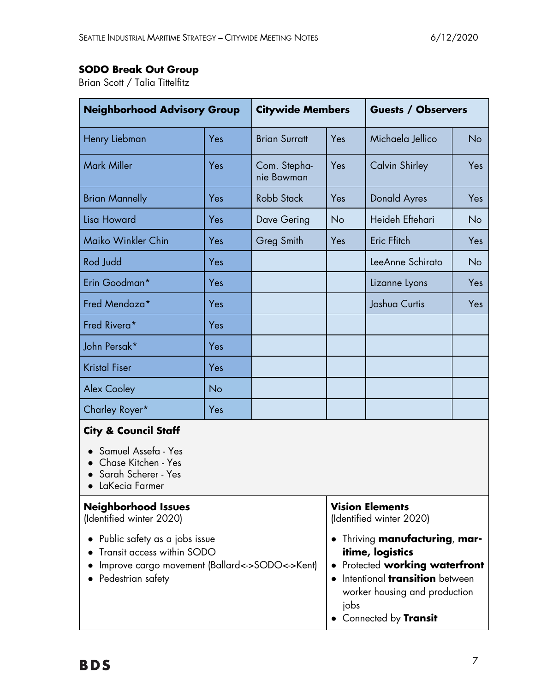# **SODO Break Out Group**

Brian Scott / Talia Tittelfitz

| <b>Neighborhood Advisory Group</b>                                                                                                 |     | <b>Citywide Members</b>    |                                                                                                                                                                                                                | <b>Guests / Observers</b> |           |
|------------------------------------------------------------------------------------------------------------------------------------|-----|----------------------------|----------------------------------------------------------------------------------------------------------------------------------------------------------------------------------------------------------------|---------------------------|-----------|
| Henry Liebman                                                                                                                      | Yes | <b>Brian Surratt</b>       | Yes                                                                                                                                                                                                            | Michaela Jellico          | <b>No</b> |
| <b>Mark Miller</b>                                                                                                                 | Yes | Com. Stepha-<br>nie Bowman | Yes                                                                                                                                                                                                            | <b>Calvin Shirley</b>     | Yes       |
| <b>Brian Mannelly</b>                                                                                                              | Yes | <b>Robb Stack</b>          | Yes                                                                                                                                                                                                            | <b>Donald Ayres</b>       | Yes       |
| Lisa Howard                                                                                                                        | Yes | Dave Gering                | No                                                                                                                                                                                                             | Heideh Eftehari           | No        |
| Maiko Winkler Chin                                                                                                                 | Yes | Greg Smith                 | Yes                                                                                                                                                                                                            | Eric Ffitch               | Yes       |
| Rod Judd                                                                                                                           | Yes |                            |                                                                                                                                                                                                                | LeeAnne Schirato          | No        |
| Erin Goodman*                                                                                                                      | Yes |                            |                                                                                                                                                                                                                | Lizanne Lyons             | Yes       |
| Fred Mendoza*                                                                                                                      | Yes |                            |                                                                                                                                                                                                                | Joshua Curtis             | Yes       |
| Fred Rivera*                                                                                                                       | Yes |                            |                                                                                                                                                                                                                |                           |           |
| John Persak*                                                                                                                       | Yes |                            |                                                                                                                                                                                                                |                           |           |
| <b>Kristal Fiser</b>                                                                                                               | Yes |                            |                                                                                                                                                                                                                |                           |           |
| <b>Alex Cooley</b>                                                                                                                 | No  |                            |                                                                                                                                                                                                                |                           |           |
| Charley Royer*                                                                                                                     | Yes |                            |                                                                                                                                                                                                                |                           |           |
| <b>City &amp; Council Staff</b><br>Samuel Assefa - Yes<br>Chase Kitchen - Yes<br>Sarah Scherer - Yes<br>LaKecia Farmer             |     |                            |                                                                                                                                                                                                                |                           |           |
| <b>Neighborhood Issues</b><br>(Identified winter 2020)                                                                             |     |                            | <b>Vision Elements</b><br>(Identified winter 2020)                                                                                                                                                             |                           |           |
| Public safety as a jobs issue<br>Transit access within SODO<br>Improve cargo movement (Ballard<->SODO<->Kent)<br>Pedestrian safety |     |                            | Thriving <b>manufacturing, mar-</b><br>$\bullet$<br>itime, logistics<br>Protected working waterfront<br>Intentional <b>transition</b> between<br>worker housing and production<br>jobs<br>Connected by Transit |                           |           |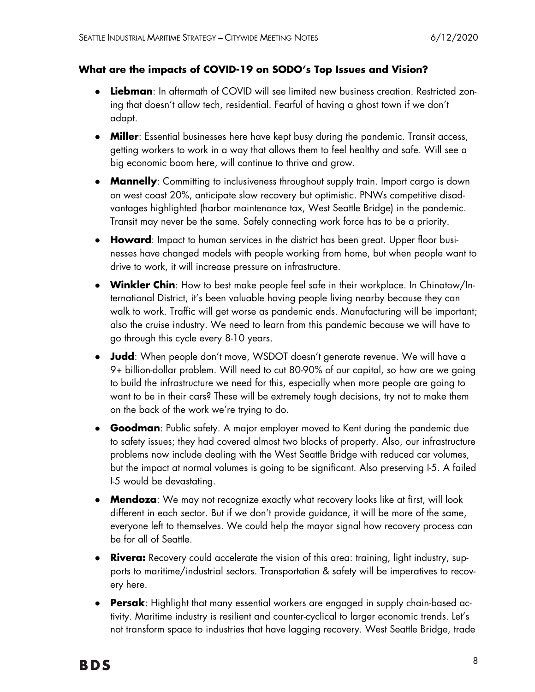#### **What are the impacts of COVID-19 on SODO's Top Issues and Vision?**

- **Liebman**: In aftermath of COVID will see limited new business creation. Restricted zoning that doesn't allow tech, residential. Fearful of having a ghost town if we don't adapt.
- **Miller**: Essential businesses here have kept busy during the pandemic. Transit access, getting workers to work in a way that allows them to feel healthy and safe. Will see a big economic boom here, will continue to thrive and grow.
- **Mannelly**: Committing to inclusiveness throughout supply train. Import cargo is down on west coast 20%, anticipate slow recovery but optimistic. PNWs competitive disadvantages highlighted (harbor maintenance tax, West Seattle Bridge) in the pandemic. Transit may never be the same. Safely connecting work force has to be a priority.
- **Howard**: Impact to human services in the district has been great. Upper floor businesses have changed models with people working from home, but when people want to drive to work, it will increase pressure on infrastructure.
- **Winkler Chin**: How to best make people feel safe in their workplace. In Chinatow/International District, it's been valuable having people living nearby because they can walk to work. Traffic will get worse as pandemic ends. Manufacturing will be important; also the cruise industry. We need to learn from this pandemic because we will have to go through this cycle every 8-10 years.
- **Judd**: When people don't move, WSDOT doesn't generate revenue. We will have a 9+ billion-dollar problem. Will need to cut 80-90% of our capital, so how are we going to build the infrastructure we need for this, especially when more people are going to want to be in their cars? These will be extremely tough decisions, try not to make them on the back of the work we're trying to do.
- **Goodman**: Public safety. A major employer moved to Kent during the pandemic due to safety issues; they had covered almost two blocks of property. Also, our infrastructure problems now include dealing with the West Seattle Bridge with reduced car volumes, but the impact at normal volumes is going to be significant. Also preserving I-5. A failed I-5 would be devastating.
- **Mendoza**: We may not recognize exactly what recovery looks like at first, will look different in each sector. But if we don't provide guidance, it will be more of the same, everyone left to themselves. We could help the mayor signal how recovery process can be for all of Seattle.
- **Rivera:** Recovery could accelerate the vision of this area: training, light industry, supports to maritime/industrial sectors. Transportation & safety will be imperatives to recovery here.
- **Persak**: Highlight that many essential workers are engaged in supply chain-based activity. Maritime industry is resilient and counter-cyclical to larger economic trends. Let's not transform space to industries that have lagging recovery. West Seattle Bridge, trade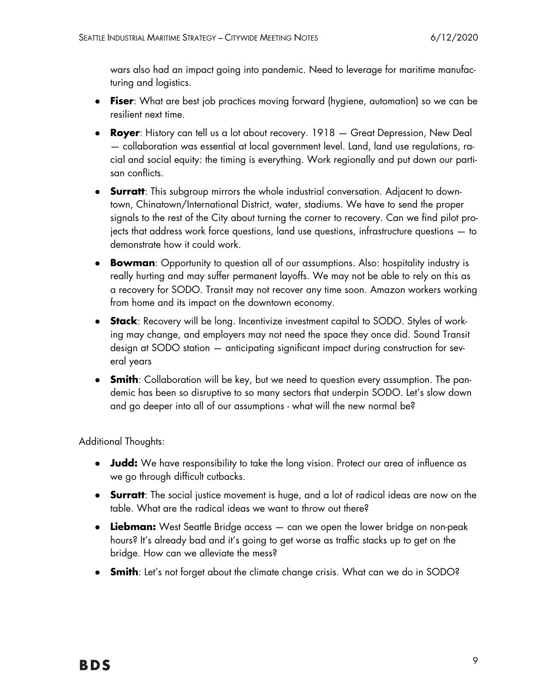wars also had an impact going into pandemic. Need to leverage for maritime manufacturing and logistics.

- **Fiser**: What are best job practices moving forward (hygiene, automation) so we can be resilient next time.
- **Royer**: History can tell us a lot about recovery. 1918 Great Depression, New Deal — collaboration was essential at local government level. Land, land use regulations, racial and social equity: the timing is everything. Work regionally and put down our partisan conflicts.
- **Surratt**: This subgroup mirrors the whole industrial conversation. Adjacent to downtown, Chinatown/International District, water, stadiums. We have to send the proper signals to the rest of the City about turning the corner to recovery. Can we find pilot projects that address work force questions, land use questions, infrastructure questions — to demonstrate how it could work.
- **Bowman**: Opportunity to question all of our assumptions. Also: hospitality industry is really hurting and may suffer permanent layoffs. We may not be able to rely on this as a recovery for SODO. Transit may not recover any time soon. Amazon workers working from home and its impact on the downtown economy.
- **Stack**: Recovery will be long. Incentivize investment capital to SODO. Styles of working may change, and employers may not need the space they once did. Sound Transit design at SODO station — anticipating significant impact during construction for several years
- **Smith**: Collaboration will be key, but we need to question every assumption. The pandemic has been so disruptive to so many sectors that underpin SODO. Let's slow down and go deeper into all of our assumptions - what will the new normal be?

Additional Thoughts:

- **Judd:** We have responsibility to take the long vision. Protect our area of influence as we go through difficult cutbacks.
- **Surratt**: The social justice movement is huge, and a lot of radical ideas are now on the table. What are the radical ideas we want to throw out there?
- **Liebman:** West Seattle Bridge access can we open the lower bridge on non-peak hours? It's already bad and it's going to get worse as traffic stacks up to get on the bridge. How can we alleviate the mess?
- **Smith**: Let's not forget about the climate change crisis. What can we do in SODO?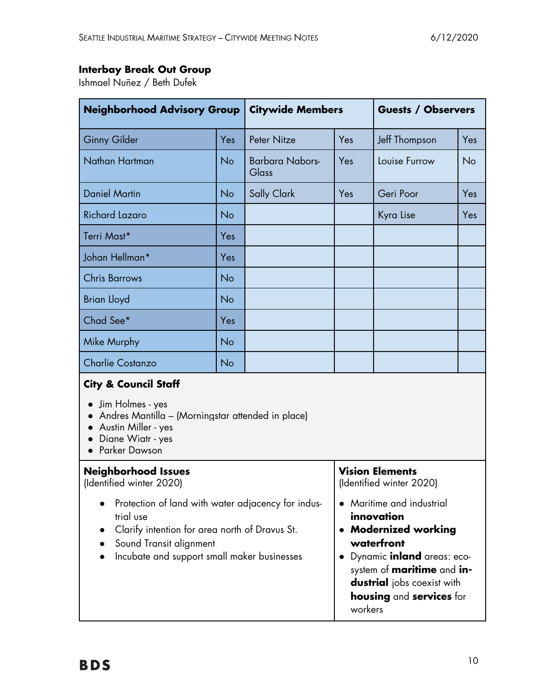# **Interbay Break Out Group**

Ishmael Nuñez / Beth Dufek

| <b>Neighborhood Advisory Group</b>                                                                                                                                                          |     | <b>Citywide Members</b>                |                                                                                                                                                                                     | <b>Guests / Observers</b> |     |  |
|---------------------------------------------------------------------------------------------------------------------------------------------------------------------------------------------|-----|----------------------------------------|-------------------------------------------------------------------------------------------------------------------------------------------------------------------------------------|---------------------------|-----|--|
| <b>Ginny Gilder</b>                                                                                                                                                                         | Yes | Peter Nitze                            | Yes                                                                                                                                                                                 | Jeff Thompson             | Yes |  |
| Nathan Hartman                                                                                                                                                                              | No  | <b>Barbara Nabors-</b><br><b>Glass</b> | Yes                                                                                                                                                                                 | Louise Furrow             | No  |  |
| <b>Daniel Martin</b>                                                                                                                                                                        | No  | <b>Sally Clark</b>                     | Yes                                                                                                                                                                                 | Geri Poor                 | Yes |  |
| <b>Richard Lazaro</b>                                                                                                                                                                       | No  |                                        |                                                                                                                                                                                     | Kyra Lise                 | Yes |  |
| Terri Mast*                                                                                                                                                                                 | Yes |                                        |                                                                                                                                                                                     |                           |     |  |
| Johan Hellman*                                                                                                                                                                              | Yes |                                        |                                                                                                                                                                                     |                           |     |  |
| <b>Chris Barrows</b>                                                                                                                                                                        | No  |                                        |                                                                                                                                                                                     |                           |     |  |
| <b>Brian Lloyd</b>                                                                                                                                                                          | No  |                                        |                                                                                                                                                                                     |                           |     |  |
| Chad See*                                                                                                                                                                                   | Yes |                                        |                                                                                                                                                                                     |                           |     |  |
| Mike Murphy                                                                                                                                                                                 | No  |                                        |                                                                                                                                                                                     |                           |     |  |
| <b>Charlie Costanzo</b>                                                                                                                                                                     | No  |                                        |                                                                                                                                                                                     |                           |     |  |
| <b>City &amp; Council Staff</b><br>Jim Holmes - yes<br>Andres Mantilla – (Morningstar attended in place)<br>Austin Miller - yes<br>Diane Wiatr - yes<br>Parker Dawson                       |     |                                        |                                                                                                                                                                                     |                           |     |  |
| <b>Neighborhood Issues</b><br>(Identified winter 2020)                                                                                                                                      |     |                                        | <b>Vision Elements</b><br>(Identified winter 2020)                                                                                                                                  |                           |     |  |
| Protection of land with water adjacency for indus-<br>trial use<br>Clarify intention for area north of Dravus St.<br>Sound Transit alignment<br>Incubate and support small maker businesses |     |                                        | Maritime and industrial<br>innovation<br>• Modernized working<br>waterfront<br>Dynamic inland areas: eco-<br>system of <b>maritime</b> and in-<br><b>dustrial</b> jobs coexist with |                           |     |  |

**housing** and **services** for

workers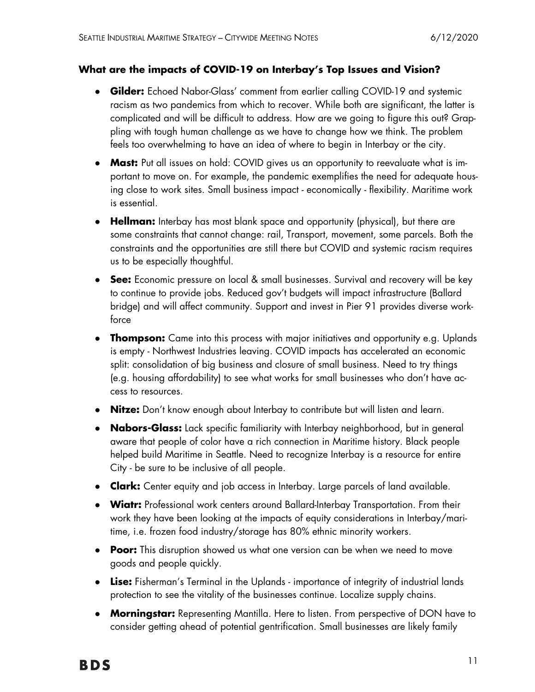#### **What are the impacts of COVID-19 on Interbay's Top Issues and Vision?**

- **Gilder:** Echoed Nabor-Glass' comment from earlier calling COVID-19 and systemic racism as two pandemics from which to recover. While both are significant, the latter is complicated and will be difficult to address. How are we going to figure this out? Grappling with tough human challenge as we have to change how we think. The problem feels too overwhelming to have an idea of where to begin in Interbay or the city.
- **Mast:** Put all issues on hold: COVID gives us an opportunity to reevaluate what is important to move on. For example, the pandemic exemplifies the need for adequate housing close to work sites. Small business impact - economically - flexibility. Maritime work is essential.
- **Hellman:** Interbay has most blank space and opportunity (physical), but there are some constraints that cannot change: rail, Transport, movement, some parcels. Both the constraints and the opportunities are still there but COVID and systemic racism requires us to be especially thoughtful.
- **See:** Economic pressure on local & small businesses. Survival and recovery will be key to continue to provide jobs. Reduced gov't budgets will impact infrastructure (Ballard bridge) and will affect community. Support and invest in Pier 91 provides diverse workforce
- **Thompson:** Came into this process with major initiatives and opportunity e.g. Uplands is empty - Northwest Industries leaving. COVID impacts has accelerated an economic split: consolidation of big business and closure of small business. Need to try things (e.g. housing affordability) to see what works for small businesses who don't have access to resources.
- **Nitze:** Don't know enough about Interbay to contribute but will listen and learn.
- **Nabors-Glass:** Lack specific familiarity with Interbay neighborhood, but in general aware that people of color have a rich connection in Maritime history. Black people helped build Maritime in Seattle. Need to recognize Interbay is a resource for entire City - be sure to be inclusive of all people.
- **Clark:** Center equity and job access in Interbay. Large parcels of land available.
- **Wiatr:** Professional work centers around Ballard-Interbay Transportation. From their work they have been looking at the impacts of equity considerations in Interbay/maritime, i.e. frozen food industry/storage has 80% ethnic minority workers.
- **Poor:** This disruption showed us what one version can be when we need to move goods and people quickly.
- **Lise:** Fisherman's Terminal in the Uplands importance of integrity of industrial lands protection to see the vitality of the businesses continue. Localize supply chains.
- **Morningstar:** Representing Mantilla. Here to listen. From perspective of DON have to consider getting ahead of potential gentrification. Small businesses are likely family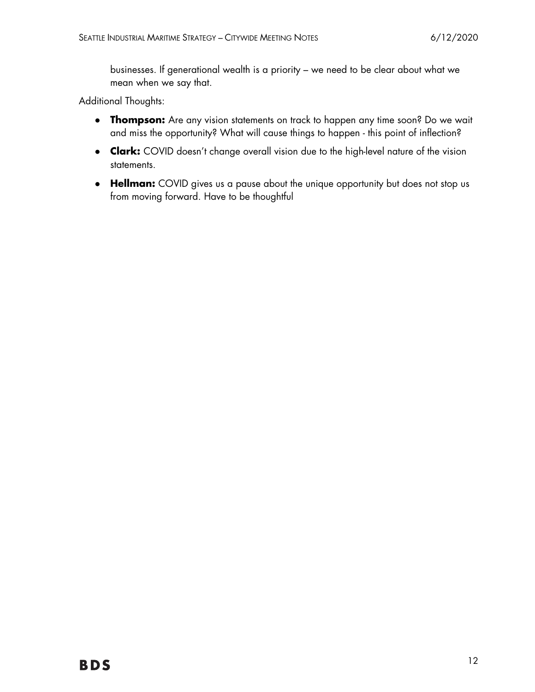businesses. If generational wealth is a priority – we need to be clear about what we mean when we say that.

Additional Thoughts:

- **Thompson:** Are any vision statements on track to happen any time soon? Do we wait and miss the opportunity? What will cause things to happen - this point of inflection?
- **Clark:** COVID doesn't change overall vision due to the high-level nature of the vision statements.
- **Hellman:** COVID gives us a pause about the unique opportunity but does not stop us from moving forward. Have to be thoughtful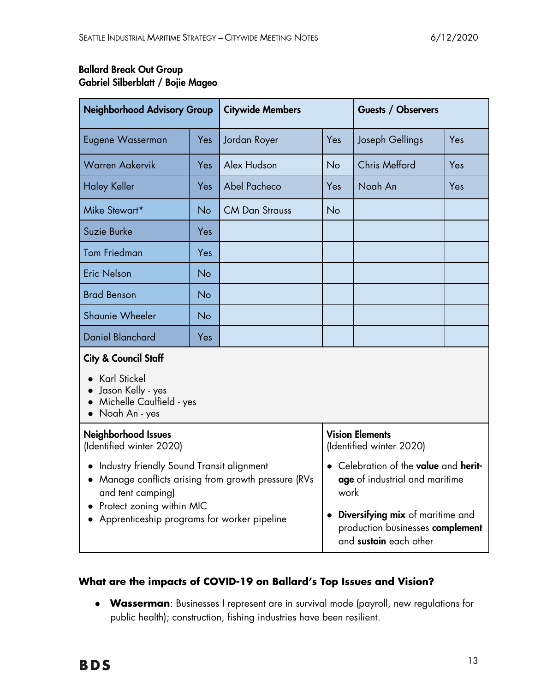## Ballard Break Out Group Gabriel Silberblatt / Bojie Mageo

| <b>Neighborhood Advisory Group</b>                                                                                                                                                                     |           | <b>Citywide Members</b> |                                                                                                             | Guests / Observers   |     |  |
|--------------------------------------------------------------------------------------------------------------------------------------------------------------------------------------------------------|-----------|-------------------------|-------------------------------------------------------------------------------------------------------------|----------------------|-----|--|
| Eugene Wasserman                                                                                                                                                                                       | Yes       | Jordan Royer            | Yes                                                                                                         | Joseph Gellings      | Yes |  |
| <b>Warren Aakervik</b>                                                                                                                                                                                 | Yes       | Alex Hudson             | No                                                                                                          | <b>Chris Mefford</b> | Yes |  |
| <b>Haley Keller</b>                                                                                                                                                                                    | Yes       | Abel Pacheco            | Yes                                                                                                         | Noah An              | Yes |  |
| Mike Stewart*                                                                                                                                                                                          | <b>No</b> | <b>CM Dan Strauss</b>   | No                                                                                                          |                      |     |  |
| Suzie Burke                                                                                                                                                                                            | Yes       |                         |                                                                                                             |                      |     |  |
| <b>Tom Friedman</b>                                                                                                                                                                                    | Yes       |                         |                                                                                                             |                      |     |  |
| <b>Eric Nelson</b>                                                                                                                                                                                     | <b>No</b> |                         |                                                                                                             |                      |     |  |
| <b>Brad Benson</b>                                                                                                                                                                                     | <b>No</b> |                         |                                                                                                             |                      |     |  |
| Shaunie Wheeler                                                                                                                                                                                        | <b>No</b> |                         |                                                                                                             |                      |     |  |
| <b>Daniel Blanchard</b>                                                                                                                                                                                | Yes       |                         |                                                                                                             |                      |     |  |
| <b>City &amp; Council Staff</b>                                                                                                                                                                        |           |                         |                                                                                                             |                      |     |  |
| <b>Karl Stickel</b><br>· Jason Kelly - yes<br>Michelle Caulfield - yes<br>Noah An - yes                                                                                                                |           |                         |                                                                                                             |                      |     |  |
| <b>Neighborhood Issues</b><br>(Identified winter 2020)                                                                                                                                                 |           |                         | <b>Vision Elements</b><br>(Identified winter 2020)                                                          |                      |     |  |
| Industry friendly Sound Transit alignment<br>• Manage conflicts arising from growth pressure (RVs<br>and tent camping)<br>• Protect zoning within MIC<br>• Apprenticeship programs for worker pipeline |           |                         | • Celebration of the value and herit-<br>age of industrial and maritime<br>work                             |                      |     |  |
|                                                                                                                                                                                                        |           |                         | Diversifying mix of maritime and<br>$\bullet$<br>production businesses complement<br>and sustain each other |                      |     |  |

### **What are the impacts of COVID-19 on Ballard's Top Issues and Vision?**

● **Wasserman**: Businesses I represent are in survival mode (payroll, new regulations for public health); construction, fishing industries have been resilient.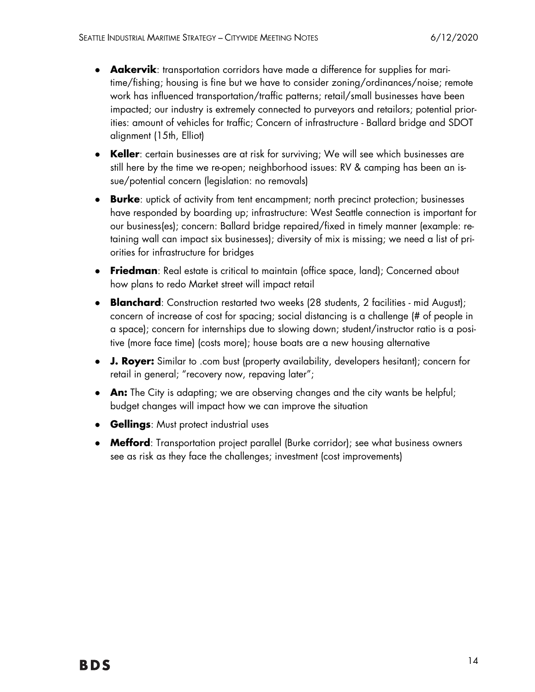- **Aakervik**: transportation corridors have made a difference for supplies for maritime/fishing; housing is fine but we have to consider zoning/ordinances/noise; remote work has influenced transportation/traffic patterns; retail/small businesses have been impacted; our industry is extremely connected to purveyors and retailors; potential priorities: amount of vehicles for traffic; Concern of infrastructure - Ballard bridge and SDOT alignment (15th, Elliot)
- Keller: certain businesses are at risk for surviving; We will see which businesses are still here by the time we re-open; neighborhood issues: RV & camping has been an issue/potential concern (legislation: no removals)
- **Burke**: uptick of activity from tent encampment; north precinct protection; businesses have responded by boarding up; infrastructure: West Seattle connection is important for our business(es); concern: Ballard bridge repaired/fixed in timely manner (example: retaining wall can impact six businesses); diversity of mix is missing; we need a list of priorities for infrastructure for bridges
- **Friedman**: Real estate is critical to maintain (office space, land); Concerned about how plans to redo Market street will impact retail
- **Blanchard**: Construction restarted two weeks (28 students, 2 facilities mid August); concern of increase of cost for spacing; social distancing is a challenge (# of people in a space); concern for internships due to slowing down; student/instructor ratio is a positive (more face time) (costs more); house boats are a new housing alternative
- **J. Royer:** Similar to .com bust (property availability, developers hesitant); concern for retail in general; "recovery now, repaving later";
- **An:** The City is adapting; we are observing changes and the city wants be helpful; budget changes will impact how we can improve the situation
- **Gellings:** Must protect industrial uses
- **Mefford**: Transportation project parallel (Burke corridor); see what business owners see as risk as they face the challenges; investment (cost improvements)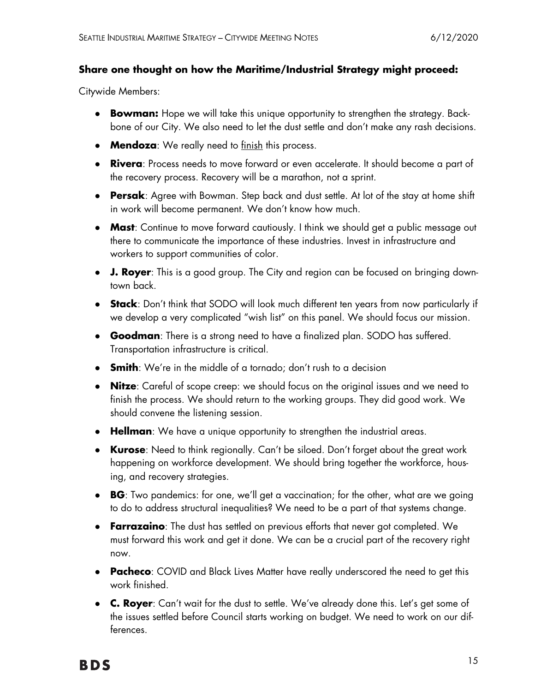#### **Share one thought on how the Maritime/Industrial Strategy might proceed:**

Citywide Members:

- **Bowman:** Hope we will take this unique opportunity to strengthen the strategy. Backbone of our City. We also need to let the dust settle and don't make any rash decisions.
- **Mendoza**: We really need to finish this process.
- **Rivera**: Process needs to move forward or even accelerate. It should become a part of the recovery process. Recovery will be a marathon, not a sprint.
- **Persak**: Agree with Bowman. Step back and dust settle. At lot of the stay at home shift in work will become permanent. We don't know how much.
- **Mast**: Continue to move forward cautiously. I think we should get a public message out there to communicate the importance of these industries. Invest in infrastructure and workers to support communities of color.
- **J. Royer**: This is a good group. The City and region can be focused on bringing downtown back.
- **Stack:** Don't think that SODO will look much different ten years from now particularly if we develop a very complicated "wish list" on this panel. We should focus our mission.
- **Goodman**: There is a strong need to have a finalized plan. SODO has suffered. Transportation infrastructure is critical.
- **Smith**: We're in the middle of a tornado; don't rush to a decision
- **Nitze**: Careful of scope creep: we should focus on the original issues and we need to finish the process. We should return to the working groups. They did good work. We should convene the listening session.
- **Hellman**: We have a unique opportunity to strengthen the industrial areas.
- **Kurose**: Need to think regionally. Can't be siloed. Don't forget about the great work happening on workforce development. We should bring together the workforce, housing, and recovery strategies.
- **BG**: Two pandemics: for one, we'll get a vaccination; for the other, what are we going to do to address structural inequalities? We need to be a part of that systems change.
- **Farrazaino**: The dust has settled on previous efforts that never got completed. We must forward this work and get it done. We can be a crucial part of the recovery right now.
- **Pacheco**: COVID and Black Lives Matter have really underscored the need to get this work finished.
- **C. Royer**: Can't wait for the dust to settle. We've already done this. Let's get some of the issues settled before Council starts working on budget. We need to work on our differences.